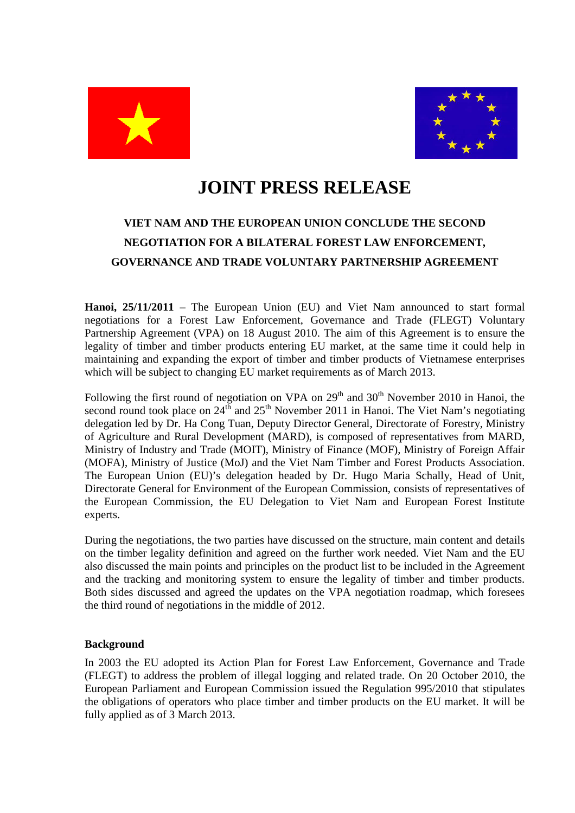



## **JOINT PRESS RELEASE**

## **VIET NAM AND THE EUROPEAN UNION CONCLUDE THE SECOND NEGOTIATION FOR A BILATERAL FOREST LAW ENFORCEMENT, GOVERNANCE AND TRADE VOLUNTARY PARTNERSHIP AGREEMENT**

**Hanoi, 25/11/2011** – The European Union (EU) and Viet Nam announced to start formal negotiations for a Forest Law Enforcement, Governance and Trade (FLEGT) Voluntary Partnership Agreement (VPA) on 18 August 2010. The aim of this Agreement is to ensure the legality of timber and timber products entering EU market, at the same time it could help in maintaining and expanding the export of timber and timber products of Vietnamese enterprises which will be subject to changing EU market requirements as of March 2013.

Following the first round of negotiation on VPA on  $29<sup>th</sup>$  and  $30<sup>th</sup>$  November 2010 in Hanoi, the second round took place on  $24<sup>th</sup>$  and  $25<sup>th</sup>$  November 2011 in Hanoi. The Viet Nam's negotiating delegation led by Dr. Ha Cong Tuan, Deputy Director General, Directorate of Forestry, Ministry of Agriculture and Rural Development (MARD), is composed of representatives from MARD, Ministry of Industry and Trade (MOIT), Ministry of Finance (MOF), Ministry of Foreign Affair (MOFA), Ministry of Justice (MoJ) and the Viet Nam Timber and Forest Products Association. The European Union (EU)'s delegation headed by Dr. Hugo Maria Schally, Head of Unit, Directorate General for Environment of the European Commission, consists of representatives of the European Commission, the EU Delegation to Viet Nam and European Forest Institute experts.

During the negotiations, the two parties have discussed on the structure, main content and details on the timber legality definition and agreed on the further work needed. Viet Nam and the EU also discussed the main points and principles on the product list to be included in the Agreement and the tracking and monitoring system to ensure the legality of timber and timber products. Both sides discussed and agreed the updates on the VPA negotiation roadmap, which foresees the third round of negotiations in the middle of 2012.

## **Background**

In 2003 the EU adopted its Action Plan for Forest Law Enforcement, Governance and Trade (FLEGT) to address the problem of illegal logging and related trade. On 20 October 2010, the European Parliament and European Commission issued the Regulation 995/2010 that stipulates the obligations of operators who place timber and timber products on the EU market. It will be fully applied as of 3 March 2013.